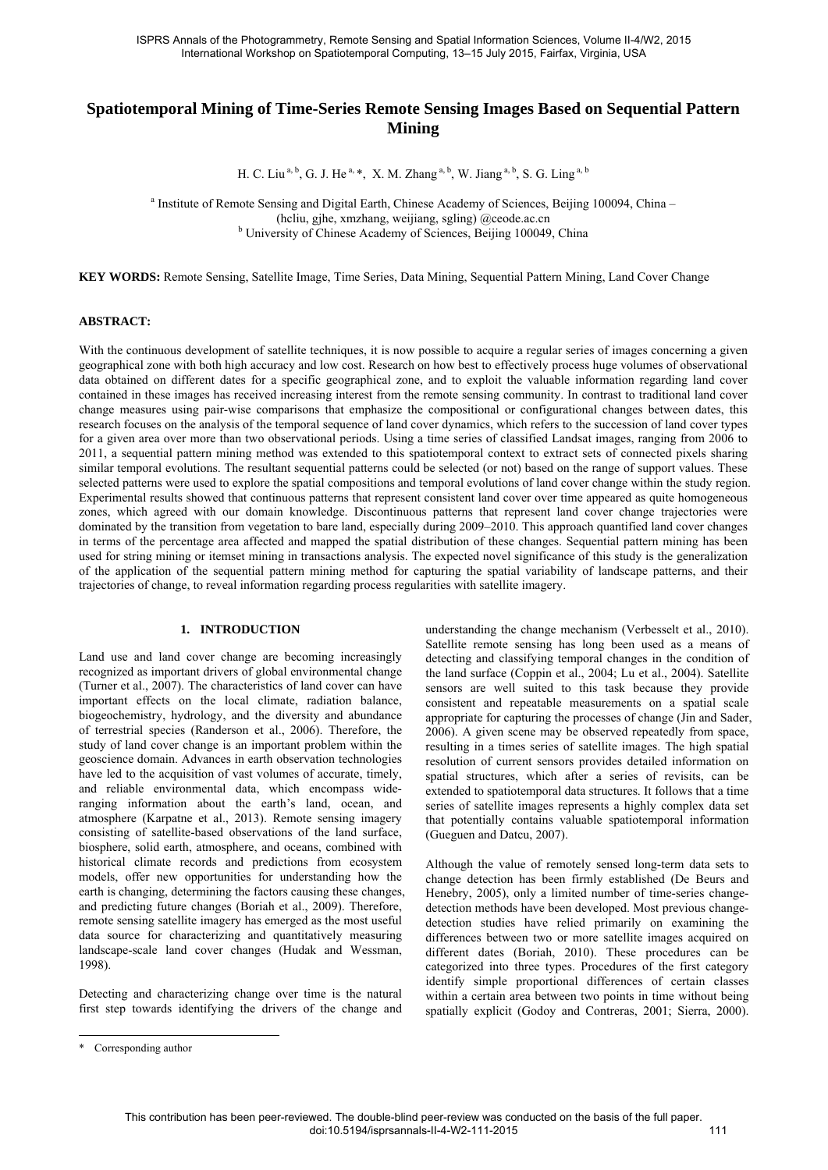# **Spatiotemporal Mining of Time-Series Remote Sensing Images Based on Sequential Pattern Mining**

H. C. Liu<sup>a, b</sup>, G. J. He<sup>a, \*</sup>, X. M. Zhang<sup>a, b</sup>, W. Jiang<sup>a, b</sup>, S. G. Ling<sup>a, b</sup>

<sup>a</sup> Institute of Remote Sensing and Digital Earth, Chinese Academy of Sciences, Beijing 100094, China – (hcliu, gjhe, xmzhang, weijiang, sgling) @ceode.ac.cn b <sup>b</sup> University of Chinese Academy of Sciences, Beijing 100049, China

**KEY WORDS:** Remote Sensing, Satellite Image, Time Series, Data Mining, Sequential Pattern Mining, Land Cover Change

#### **ABSTRACT:**

With the continuous development of satellite techniques, it is now possible to acquire a regular series of images concerning a given geographical zone with both high accuracy and low cost. Research on how best to effectively process huge volumes of observational data obtained on different dates for a specific geographical zone, and to exploit the valuable information regarding land cover contained in these images has received increasing interest from the remote sensing community. In contrast to traditional land cover change measures using pair-wise comparisons that emphasize the compositional or configurational changes between dates, this research focuses on the analysis of the temporal sequence of land cover dynamics, which refers to the succession of land cover types for a given area over more than two observational periods. Using a time series of classified Landsat images, ranging from 2006 to 2011, a sequential pattern mining method was extended to this spatiotemporal context to extract sets of connected pixels sharing similar temporal evolutions. The resultant sequential patterns could be selected (or not) based on the range of support values. These selected patterns were used to explore the spatial compositions and temporal evolutions of land cover change within the study region. Experimental results showed that continuous patterns that represent consistent land cover over time appeared as quite homogeneous zones, which agreed with our domain knowledge. Discontinuous patterns that represent land cover change trajectories were dominated by the transition from vegetation to bare land, especially during 2009–2010. This approach quantified land cover changes in terms of the percentage area affected and mapped the spatial distribution of these changes. Sequential pattern mining has been used for string mining or itemset mining in transactions analysis. The expected novel significance of this study is the generalization of the application of the sequential pattern mining method for capturing the spatial variability of landscape patterns, and their trajectories of change, to reveal information regarding process regularities with satellite imagery.

#### **1. INTRODUCTION**

Land use and land cover change are becoming increasingly recognized as important drivers of global environmental change (Turner et al., 2007). The characteristics of land cover can have important effects on the local climate, radiation balance, biogeochemistry, hydrology, and the diversity and abundance of terrestrial species (Randerson et al., 2006). Therefore, the study of land cover change is an important problem within the geoscience domain. Advances in earth observation technologies have led to the acquisition of vast volumes of accurate, timely, and reliable environmental data, which encompass wideranging information about the earth's land, ocean, and atmosphere (Karpatne et al., 2013). Remote sensing imagery consisting of satellite-based observations of the land surface, biosphere, solid earth, atmosphere, and oceans, combined with historical climate records and predictions from ecosystem models, offer new opportunities for understanding how the earth is changing, determining the factors causing these changes, and predicting future changes (Boriah et al., 2009). Therefore, remote sensing satellite imagery has emerged as the most useful data source for characterizing and quantitatively measuring landscape-scale land cover changes (Hudak and Wessman, 1998).

Detecting and characterizing change over time is the natural first step towards identifying the drivers of the change and understanding the change mechanism (Verbesselt et al., 2010). Satellite remote sensing has long been used as a means of detecting and classifying temporal changes in the condition of the land surface (Coppin et al., 2004; Lu et al., 2004). Satellite sensors are well suited to this task because they provide consistent and repeatable measurements on a spatial scale appropriate for capturing the processes of change (Jin and Sader, 2006). A given scene may be observed repeatedly from space, resulting in a times series of satellite images. The high spatial resolution of current sensors provides detailed information on spatial structures, which after a series of revisits, can be extended to spatiotemporal data structures. It follows that a time series of satellite images represents a highly complex data set that potentially contains valuable spatiotemporal information (Gueguen and Datcu, 2007).

Although the value of remotely sensed long-term data sets to change detection has been firmly established (De Beurs and Henebry, 2005), only a limited number of time-series changedetection methods have been developed. Most previous changedetection studies have relied primarily on examining the differences between two or more satellite images acquired on different dates (Boriah, 2010). These procedures can be categorized into three types. Procedures of the first category identify simple proportional differences of certain classes within a certain area between two points in time without being spatially explicit (Godoy and Contreras, 2001; Sierra, 2000).

l

<sup>\*</sup> Corresponding author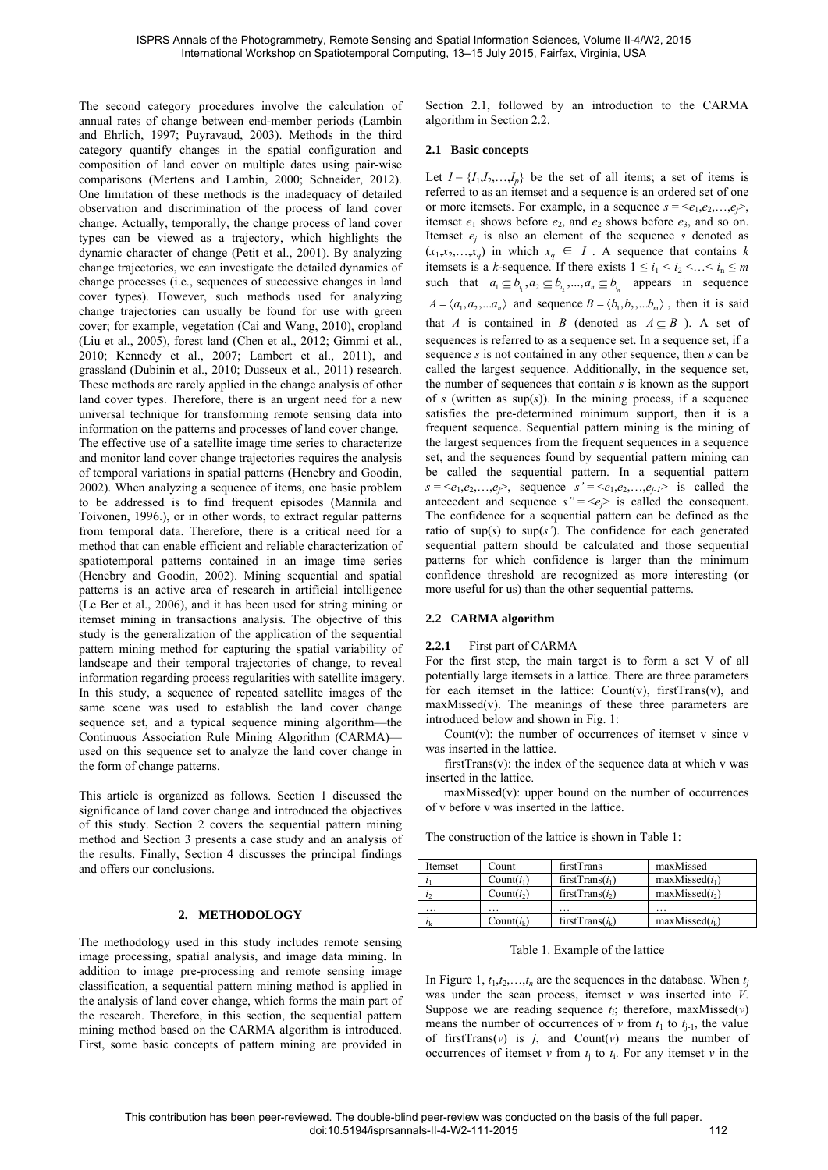The second category procedures involve the calculation of annual rates of change between end-member periods (Lambin and Ehrlich, 1997; Puyravaud, 2003). Methods in the third category quantify changes in the spatial configuration and composition of land cover on multiple dates using pair-wise comparisons (Mertens and Lambin, 2000; Schneider, 2012). One limitation of these methods is the inadequacy of detailed observation and discrimination of the process of land cover change. Actually, temporally, the change process of land cover types can be viewed as a trajectory, which highlights the dynamic character of change (Petit et al., 2001). By analyzing change trajectories, we can investigate the detailed dynamics of change processes (i.e., sequences of successive changes in land cover types). However, such methods used for analyzing change trajectories can usually be found for use with green cover; for example, vegetation (Cai and Wang, 2010), cropland (Liu et al., 2005), forest land (Chen et al., 2012; Gimmi et al., 2010; Kennedy et al., 2007; Lambert et al., 2011), and grassland (Dubinin et al., 2010; Dusseux et al., 2011) research. These methods are rarely applied in the change analysis of other land cover types. Therefore, there is an urgent need for a new universal technique for transforming remote sensing data into information on the patterns and processes of land cover change. The effective use of a satellite image time series to characterize and monitor land cover change trajectories requires the analysis of temporal variations in spatial patterns (Henebry and Goodin, 2002). When analyzing a sequence of items, one basic problem to be addressed is to find frequent episodes (Mannila and Toivonen, 1996.), or in other words, to extract regular patterns from temporal data. Therefore, there is a critical need for a method that can enable efficient and reliable characterization of spatiotemporal patterns contained in an image time series (Henebry and Goodin, 2002). Mining sequential and spatial patterns is an active area of research in artificial intelligence (Le Ber et al., 2006), and it has been used for string mining or itemset mining in transactions analysis. The objective of this study is the generalization of the application of the sequential pattern mining method for capturing the spatial variability of landscape and their temporal trajectories of change, to reveal information regarding process regularities with satellite imagery. In this study, a sequence of repeated satellite images of the same scene was used to establish the land cover change sequence set, and a typical sequence mining algorithm—the Continuous Association Rule Mining Algorithm (CARMA) used on this sequence set to analyze the land cover change in the form of change patterns.

This article is organized as follows. Section 1 discussed the significance of land cover change and introduced the objectives of this study. Section 2 covers the sequential pattern mining method and Section 3 presents a case study and an analysis of the results. Finally, Section 4 discusses the principal findings and offers our conclusions.

#### **2. METHODOLOGY**

The methodology used in this study includes remote sensing image processing, spatial analysis, and image data mining. In addition to image pre-processing and remote sensing image classification, a sequential pattern mining method is applied in the analysis of land cover change, which forms the main part of the research. Therefore, in this section, the sequential pattern mining method based on the CARMA algorithm is introduced. First, some basic concepts of pattern mining are provided in

Section 2.1, followed by an introduction to the CARMA algorithm in Section 2.2.

## **2.1 Basic concepts**

Let  $I = \{I_1, I_2, \ldots, I_n\}$  be the set of all items; a set of items is referred to as an itemset and a sequence is an ordered set of one or more itemsets. For example, in a sequence  $s = \langle e_1, e_2, \ldots, e_r \rangle$ , itemset  $e_1$  shows before  $e_2$ , and  $e_2$  shows before  $e_3$ , and so on. Itemset  $e_i$  is also an element of the sequence  $s$  denoted as  $(x_1, x_2, \ldots, x_q)$  in which  $x_q \in I$ . A sequence that contains *k* itemsets is a *k*-sequence. If there exists  $1 \le i_1 < i_2 < ... < i_n \le m$ such that  $a_1 \subseteq b_i, a_2 \subseteq b_i, ..., a_n \subseteq b_i$  appears in sequence  $A = \langle a_1, a_2, \dots a_n \rangle$  and sequence  $B = \langle b_1, b_2, \dots b_m \rangle$ , then it is said that *A* is contained in *B* (denoted as  $A \subseteq B$ ). A set of sequences is referred to as a sequence set. In a sequence set, if a sequence *s* is not contained in any other sequence, then *s* can be called the largest sequence. Additionally, in the sequence set, the number of sequences that contain *s* is known as the support of *s* (written as sup(*s*)). In the mining process, if a sequence satisfies the pre-determined minimum support, then it is a frequent sequence. Sequential pattern mining is the mining of the largest sequences from the frequent sequences in a sequence set, and the sequences found by sequential pattern mining can be called the sequential pattern. In a sequential pattern  $s = \langle e_1, e_2, \ldots, e_i \rangle$ , sequence  $s' = \langle e_1, e_2, \ldots, e_i \rangle$  is called the antecedent and sequence  $s'' = \langle e \rangle$  is called the consequent. The confidence for a sequential pattern can be defined as the ratio of sup(*s*) to sup(*s'*). The confidence for each generated sequential pattern should be calculated and those sequential patterns for which confidence is larger than the minimum confidence threshold are recognized as more interesting (or more useful for us) than the other sequential patterns.

# **2.2 CARMA algorithm**

#### **2.2.1** First part of CARMA

For the first step, the main target is to form a set V of all potentially large itemsets in a lattice. There are three parameters for each itemset in the lattice: Count(v), firstTrans(v), and maxMissed(v). The meanings of these three parameters are introduced below and shown in Fig. 1:

Count $(v)$ : the number of occurrences of itemset v since v was inserted in the lattice.

first $Trans(v)$ : the index of the sequence data at which v was inserted in the lattice.

 $maxMissed(v)$ : upper bound on the number of occurrences of v before v was inserted in the lattice.

The construction of the lattice is shown in Table 1:

| Itemset              | Count                  | firstTrans           | maxMissed                  |
|----------------------|------------------------|----------------------|----------------------------|
|                      | $Count(i_1)$           | firstTrans $(i_1)$   | maxMissed(i <sub>1</sub> ) |
|                      | Count(i <sub>2</sub> ) | firstTrans $(i_2)$   | maxMissed(i <sub>2</sub> ) |
| $\ddot{\phantom{0}}$ | $\ddot{\phantom{0}}$   | $\ddot{\phantom{0}}$ | $\ddot{\phantom{0}}$       |
|                      | $Count(i_k)$           | firstTrans $(i_k)$   | $maxMissed(i_k)$           |

#### Table 1. Example of the lattice

In Figure 1,  $t_1, t_2, \ldots, t_n$  are the sequences in the database. When  $t_i$ was under the scan process, itemset *v* was inserted into *V*. Suppose we are reading sequence  $t_i$ ; therefore, maxMissed(*v*) means the number of occurrences of  $v$  from  $t_1$  to  $t_{j-1}$ , the value of firstTrans(*v*) is *j*, and Count(*v*) means the number of occurrences of itemset  $v$  from  $t_i$  to  $t_i$ . For any itemset  $v$  in the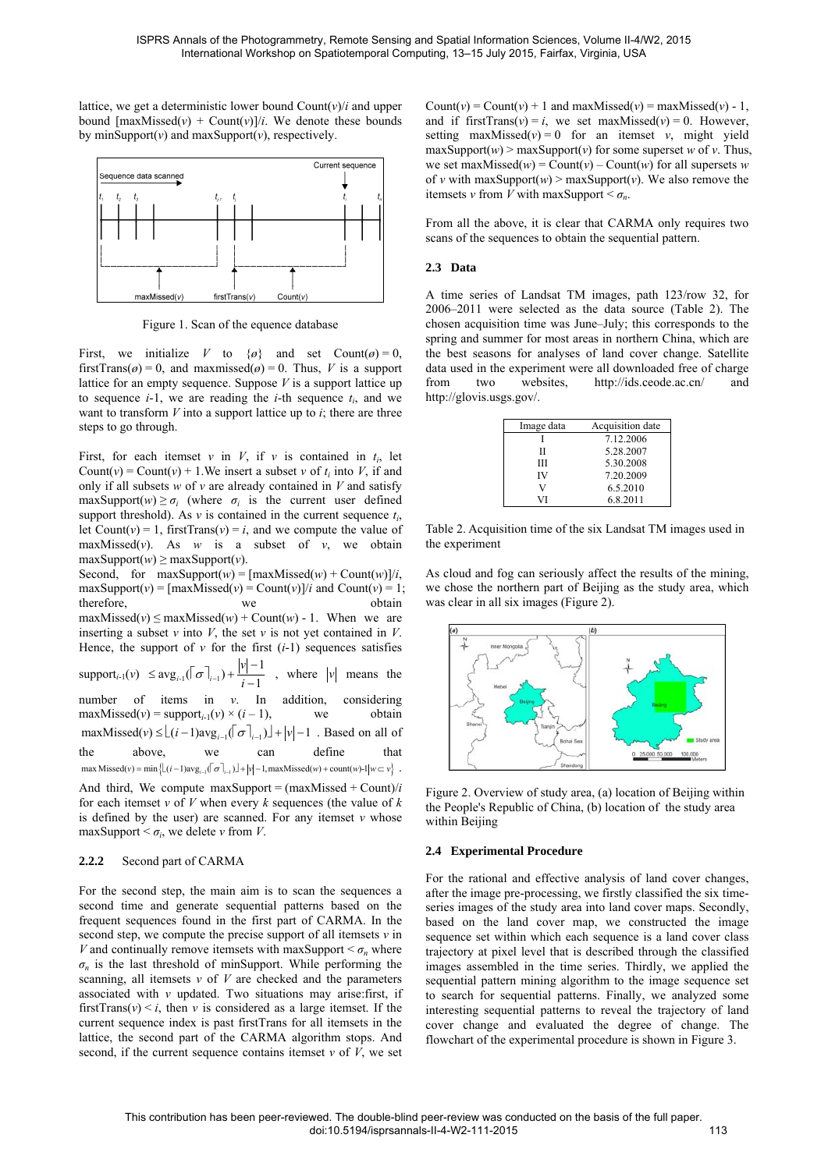lattice, we get a deterministic lower bound  $Count(v)/i$  and upper bound  ${\max}$ Missed(*v*) + Count(*v*)]/*i*. We denote these bounds by minSupport(*v*) and maxSupport(*v*), respectively.



Figure 1. Scan of the equence database

First, we initialize *V* to  $\{\emptyset\}$  and set Count( $\emptyset$ ) = 0, firstTrans( $\varphi$ ) = 0, and maxmissed( $\varphi$ ) = 0. Thus, *V* is a support lattice for an empty sequence. Suppose *V* is a support lattice up to sequence  $i-1$ , we are reading the  $i$ -th sequence  $t_i$ , and we want to transform *V* into a support lattice up to *i*; there are three steps to go through.

First, for each itemset  $v$  in  $V$ , if  $v$  is contained in  $t_i$ , let Count(*v*) = Count(*v*) + 1. We insert a subset *v* of  $t_i$  into *V*, if and only if all subsets *w* of *v* are already contained in *V* and satisfy maxSupport $(w) \geq \sigma_i$  (where  $\sigma_i$  is the current user defined support threshold). As  $v$  is contained in the current sequence  $t_i$ , let Count( $v$ ) = 1, firstTrans( $v$ ) = *i*, and we compute the value of maxMissed( $v$ ). As  $w$  is a subset of  $v$ , we obtain  $maxSupport(w) \geq maxSupport(v)$ . Second, for  $maxSupport(w) = [maxMissed(w) + Count(w)]/i$ , maxSupport( $v$ ) = [maxMissed( $v$ ) = Count( $v$ )]/*i* and Count( $v$ ) = 1; therefore, we we obtain  $maxMissed(v) \leq maxMissed(w) + Count(w) - 1$ . When we are inserting a subset  $\nu$  into  $V$ , the set  $\nu$  is not yet contained in  $V$ . Hence, the support of  $v$  for the first  $(i-1)$  sequences satisfies  $\text{support}_{i-1}(v) \leq \text{avg}_{i-1}(\lceil \sigma \rceil_{i-1}) + \frac{|v| - 1}{i - 1}$  $\leq \arg_{i=1}(\lceil \sigma \rceil_{i=1}) + \frac{|v|-1}{i-1}$ , where  $|v|$  means the number of items in  $v$ . In addition, considering maxMissed(*v*) = support<sub>*i*-1</sub>(*v*) × (*i* – 1), we obtain maxMissed( $v$ )  $\leq \lfloor (i-1) \arg_{i-1} (\lceil \sigma \rceil_{i-1}) \rfloor + |v| - 1$ . Based on all of the above, we can define that  $\max$  Missed(v) =  $\min \{ \lfloor (i-1) \arg_{i=1} (\lceil \sigma \rceil_{i=1}) \rfloor + |v| - 1, \max$ Missed(w) + count(w)-1 $|w \subset v \}$ . And third, We compute  $maxSupport = (maxMissed + Count)/i$ for each itemset *v* of *V* when every *k* sequences (the value of *k* is defined by the user) are scanned. For any itemset  $\nu$  whose maxSupport  $\leq \sigma_i$ , we delete *v* from *V*.

#### **2.2.2** Second part of CARMA

For the second step, the main aim is to scan the sequences a second time and generate sequential patterns based on the frequent sequences found in the first part of CARMA. In the second step, we compute the precise support of all itemsets  $\nu$  in *V* and continually remove itemsets with maxSupport  $< \sigma_n$  where  $\sigma_n$  is the last threshold of minSupport. While performing the scanning, all itemsets *v* of *V* are checked and the parameters associated with *v* updated. Two situations may arise:first, if firstTrans( $v$ ) < *i*, then  $v$  is considered as a large itemset. If the current sequence index is past firstTrans for all itemsets in the lattice, the second part of the CARMA algorithm stops. And second, if the current sequence contains itemset  $v$  of  $V$ , we set

Count(*v*) = Count(*v*) + 1 and maxMissed(*v*) = maxMissed(*v*) - 1, and if first Trans(*v*) = *i*, we set maxMissed(*v*) = 0. However, setting maxMissed $(v) = 0$  for an itemset *v*, might yield maxSupport( $w$ ) > maxSupport( $v$ ) for some superset  $w$  of  $v$ . Thus, we set maxMissed( $w$ ) = Count( $v$ ) – Count( $w$ ) for all supersets  $w$ of *v* with maxSupport $(w)$  > maxSupport $(v)$ . We also remove the itemsets *v* from *V* with maxSupport  $< \sigma_n$ .

From all the above, it is clear that CARMA only requires two scans of the sequences to obtain the sequential pattern.

## **2.3 Data**

A time series of Landsat TM images, path 123/row 32, for 2006–2011 were selected as the data source (Table 2). The chosen acquisition time was June–July; this corresponds to the spring and summer for most areas in northern China, which are the best seasons for analyses of land cover change. Satellite data used in the experiment were all downloaded free of charge from two websites, http://ids.ceode.ac.cn/ and http://glovis.usgs.gov/.

| Image data | Acquisition date |
|------------|------------------|
|            | 7.12.2006        |
| Н          | 5.28.2007        |
| Ш          | 5.30.2008        |
| IV         | 7.20.2009        |
| V          | 6.5.2010         |
|            | 6.8.2011         |

Table 2. Acquisition time of the six Landsat TM images used in the experiment

As cloud and fog can seriously affect the results of the mining, we chose the northern part of Beijing as the study area, which was clear in all six images (Figure 2).



Figure 2. Overview of study area, (a) location of Beijing within the People's Republic of China, (b) location of the study area within Beijing

#### **2.4 Experimental Procedure**

For the rational and effective analysis of land cover changes, after the image pre-processing, we firstly classified the six timeseries images of the study area into land cover maps. Secondly, based on the land cover map, we constructed the image sequence set within which each sequence is a land cover class trajectory at pixel level that is described through the classified images assembled in the time series. Thirdly, we applied the sequential pattern mining algorithm to the image sequence set to search for sequential patterns. Finally, we analyzed some interesting sequential patterns to reveal the trajectory of land cover change and evaluated the degree of change. The flowchart of the experimental procedure is shown in Figure 3.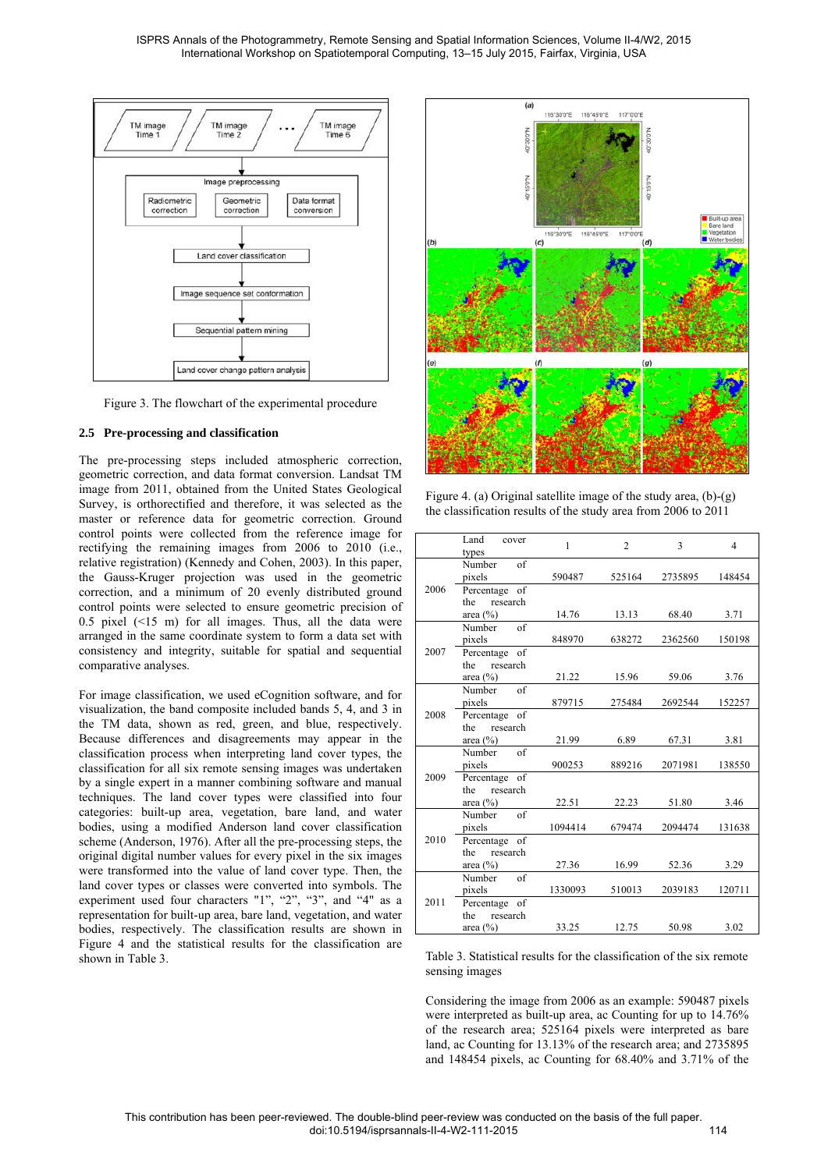

Figure 3. The flowchart of the experimental procedure

# **2.5 Pre-processing and classification**

The pre-processing steps included atmospheric correction, geometric correction, and data format conversion. Landsat TM image from 2011, obtained from the United States Geological Survey, is orthorectified and therefore, it was selected as the master or reference data for geometric correction. Ground control points were collected from the reference image for rectifying the remaining images from 2006 to 2010 (i.e., relative registration) (Kennedy and Cohen, 2003). In this paper, the Gauss-Kruger projection was used in the geometric correction, and a minimum of 20 evenly distributed ground control points were selected to ensure geometric precision of 0.5 pixel  $(\leq 15 \text{ m})$  for all images. Thus, all the data were arranged in the same coordinate system to form a data set with consistency and integrity, suitable for spatial and sequential comparative analyses.

For image classification, we used eCognition software, and for visualization, the band composite included bands 5, 4, and 3 in the TM data, shown as red, green, and blue, respectively. Because differences and disagreements may appear in the classification process when interpreting land cover types, the classification for all six remote sensing images was undertaken by a single expert in a manner combining software and manual techniques. The land cover types were classified into four categories: built-up area, vegetation, bare land, and water bodies, using a modified Anderson land cover classification scheme (Anderson, 1976). After all the pre-processing steps, the original digital number values for every pixel in the six images were transformed into the value of land cover type. Then, the land cover types or classes were converted into symbols. The experiment used four characters "1", "2", "3", and "4" as a representation for built-up area, bare land, vegetation, and water bodies, respectively. The classification results are shown in Figure 4 and the statistical results for the classification are shown in Table 3.



Figure 4. (a) Original satellite image of the study area,  $(b)-(g)$ the classification results of the study area from 2006 to 2011

|      | Land<br>cover<br>types           | 1       | $\overline{2}$ | 3       | $\overline{4}$ |
|------|----------------------------------|---------|----------------|---------|----------------|
|      | Number<br>$\alpha$ f<br>pixels   | 590487  | 525164         | 2735895 | 148454         |
| 2006 | Percentage of<br>research<br>the |         |                |         |                |
|      | area $(\% )$                     | 14.76   | 13.13          | 68.40   | 3.71           |
|      | of<br>Number                     |         |                |         |                |
|      | pixels                           | 848970  | 638272         | 2362560 | 150198         |
| 2007 | Percentage of<br>the research    |         |                |         |                |
|      | area $(\% )$                     | 21.22   | 15.96          | 59.06   | 3.76           |
|      | $\sigma$ f<br>Number             |         |                |         |                |
|      | pixels                           | 879715  | 275484         | 2692544 | 152257         |
| 2008 | Percentage of                    |         |                |         |                |
|      | research<br>the                  |         |                |         |                |
|      | area $(\% )$                     | 21.99   | 6.89           | 67.31   | 3.81           |
|      | $\sigma$ f<br>Number             |         |                |         |                |
|      | pixels                           | 900253  | 889216         | 2071981 | 138550         |
| 2009 | Percentage of                    |         |                |         |                |
|      | the<br>research                  |         |                |         |                |
|      | area $(\% )$                     | 22.51   | 22.23          | 51.80   | 3.46           |
|      | $\overline{of}$<br>Number        |         |                |         |                |
| 2010 | pixels                           | 1094414 | 679474         | 2094474 | 131638         |
|      | Percentage of                    |         |                |         |                |
|      | the<br>research                  |         |                |         |                |
|      | area $(\% )$                     | 27.36   | 16.99          | 52.36   | 3.29           |
|      | of<br>Number                     |         |                |         |                |
|      | pixels                           | 1330093 | 510013         | 2039183 | 120711         |
| 2011 | Percentage of                    |         |                |         |                |
|      | research<br>the                  |         |                |         |                |
|      | area $(\% )$                     | 33.25   | 12.75          | 50.98   | 3.02           |

Table 3. Statistical results for the classification of the six remote sensing images

Considering the image from 2006 as an example: 590487 pixels were interpreted as built-up area, ac Counting for up to 14.76% of the research area; 525164 pixels were interpreted as bare land, ac Counting for 13.13% of the research area; and 2735895 and 148454 pixels, ac Counting for 68.40% and 3.71% of the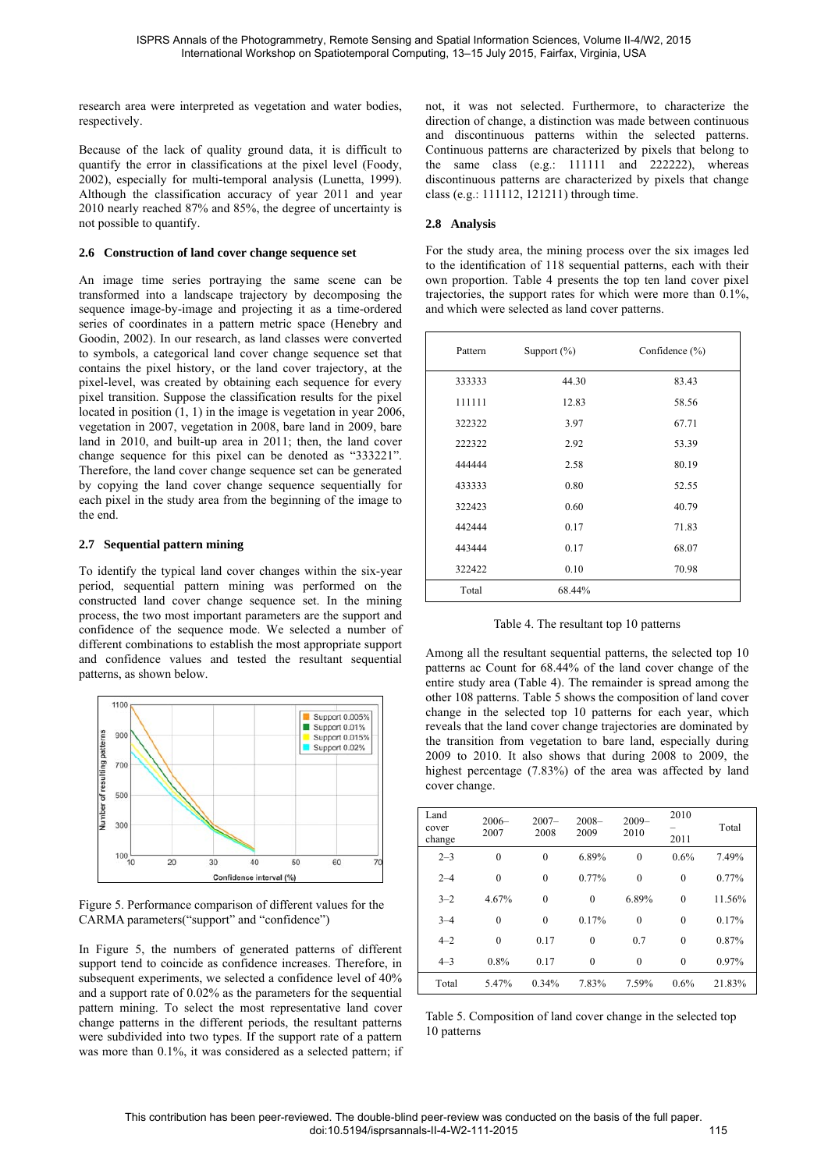research area were interpreted as vegetation and water bodies, respectively.

Because of the lack of quality ground data, it is difficult to quantify the error in classifications at the pixel level (Foody, 2002), especially for multi-temporal analysis (Lunetta, 1999). Although the classification accuracy of year 2011 and year 2010 nearly reached 87% and 85%, the degree of uncertainty is not possible to quantify.

# **2.6 Construction of land cover change sequence set**

An image time series portraying the same scene can be transformed into a landscape trajectory by decomposing the sequence image-by-image and projecting it as a time-ordered series of coordinates in a pattern metric space (Henebry and Goodin, 2002). In our research, as land classes were converted to symbols, a categorical land cover change sequence set that contains the pixel history, or the land cover trajectory, at the pixel-level, was created by obtaining each sequence for every pixel transition. Suppose the classification results for the pixel located in position  $(1, 1)$  in the image is vegetation in year 2006, vegetation in 2007, vegetation in 2008, bare land in 2009, bare land in 2010, and built-up area in 2011; then, the land cover change sequence for this pixel can be denoted as "333221". Therefore, the land cover change sequence set can be generated by copying the land cover change sequence sequentially for each pixel in the study area from the beginning of the image to the end.

# **2.7 Sequential pattern mining**

To identify the typical land cover changes within the six-year period, sequential pattern mining was performed on the constructed land cover change sequence set. In the mining process, the two most important parameters are the support and confidence of the sequence mode. We selected a number of different combinations to establish the most appropriate support and confidence values and tested the resultant sequential patterns, as shown below.



Figure 5. Performance comparison of different values for the CARMA parameters("support" and "confidence")

In Figure 5, the numbers of generated patterns of different support tend to coincide as confidence increases. Therefore, in subsequent experiments, we selected a confidence level of 40% and a support rate of 0.02% as the parameters for the sequential pattern mining. To select the most representative land cover change patterns in the different periods, the resultant patterns were subdivided into two types. If the support rate of a pattern was more than  $0.1\%$ , it was considered as a selected pattern; if not, it was not selected. Furthermore, to characterize the direction of change, a distinction was made between continuous and discontinuous patterns within the selected patterns. Continuous patterns are characterized by pixels that belong to the same class (e.g.: 111111 and 2222222), whereas discontinuous patterns are characterized by pixels that change class (e.g.: 111112, 121211) through time.

# **2.8 Analysis**

For the study area, the mining process over the six images led to the identification of 118 sequential patterns, each with their own proportion. Table 4 presents the top ten land cover pixel trajectories, the support rates for which were more than 0.1%, and which were selected as land cover patterns.

| Pattern | Support $(\% )$ | Confidence (%) |
|---------|-----------------|----------------|
| 333333  | 44.30           | 83.43          |
| 111111  | 12.83           | 58.56          |
| 322322  | 3.97            | 67.71          |
| 222322  | 2.92            | 53.39          |
| 444444  | 2.58            | 80.19          |
| 433333  | 0.80            | 52.55          |
| 322423  | 0.60            | 40.79          |
| 442444  | 0.17            | 71.83          |
| 443444  | 0.17            | 68.07          |
| 322422  | 0.10            | 70.98          |
| Total   | 68.44%          |                |

Table 4. The resultant top 10 patterns

Among all the resultant sequential patterns, the selected top 10 patterns ac Count for 68.44% of the land cover change of the entire study area (Table 4). The remainder is spread among the other 108 patterns. Table 5 shows the composition of land cover change in the selected top 10 patterns for each year, which reveals that the land cover change trajectories are dominated by the transition from vegetation to bare land, especially during 2009 to 2010. It also shows that during 2008 to 2009, the highest percentage (7.83%) of the area was affected by land cover change.

| Land<br>cover<br>change | $2006 -$<br>2007 | $2007 -$<br>2008 | $2008 -$<br>2009 | $2009 -$<br>2010 | 2010<br>2011 | Total  |
|-------------------------|------------------|------------------|------------------|------------------|--------------|--------|
| $2 - 3$                 | $\theta$         | $\mathbf{0}$     | 6.89%            | $\theta$         | 0.6%         | 7.49%  |
| $2 - 4$                 | $\theta$         | $\mathbf{0}$     | 0.77%            | $\mathbf{0}$     | $\mathbf{0}$ | 0.77%  |
| $3 - 2$                 | 4.67%            | $\mathbf{0}$     | $\theta$         | 6.89%            | $\mathbf{0}$ | 11.56% |
| $3 - 4$                 | $\theta$         | 0                | 0.17%            | $\theta$         | $\mathbf{0}$ | 0.17%  |
| $4 - 2$                 | $\theta$         | 0.17             | $\overline{0}$   | 0.7              | $\mathbf{0}$ | 0.87%  |
| $4 - 3$                 | 0.8%             | 0.17             | $\overline{0}$   | $\mathbf{0}$     | $\mathbf{0}$ | 0.97%  |
| Total                   | 5.47%            | 0.34%            | 7.83%            | 7.59%            | 0.6%         | 21.83% |

Table 5. Composition of land cover change in the selected top 10 patterns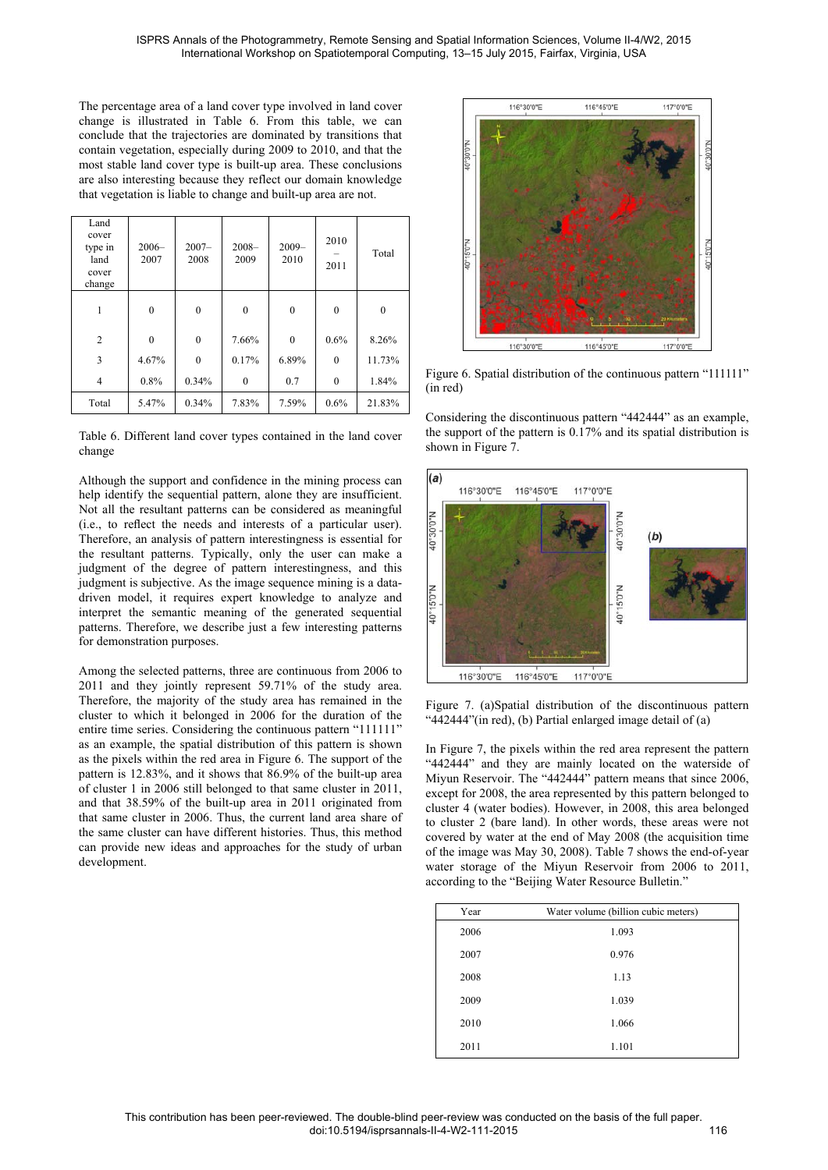The percentage area of a land cover type involved in land cover change is illustrated in Table 6. From this table, we can conclude that the trajectories are dominated by transitions that contain vegetation, especially during 2009 to 2010, and that the most stable land cover type is built-up area. These conclusions are also interesting because they reflect our domain knowledge that vegetation is liable to change and built-up area are not.

| Land<br>cover<br>type in<br>land<br>cover<br>change | $2006-$<br>2007 | $2007 -$<br>2008 | $2008 -$<br>2009 | $2009 -$<br>2010 | 2010<br>2011 | Total        |
|-----------------------------------------------------|-----------------|------------------|------------------|------------------|--------------|--------------|
| 1                                                   | $\mathbf{0}$    | $\boldsymbol{0}$ | $\mathbf{0}$     | $\theta$         | $\theta$     | $\mathbf{0}$ |
| $\overline{2}$                                      | $\theta$        | $\mathbf{0}$     | 7.66%            | $\theta$         | 0.6%         | 8.26%        |
| 3                                                   | 4.67%           | $\theta$         | 0.17%            | 6.89%            | $\theta$     | 11.73%       |
| $\overline{4}$                                      | 0.8%            | 0.34%            | $\theta$         | 0.7              | $\theta$     | 1.84%        |
| Total                                               | 5.47%           | 0.34%            | 7.83%            | 7.59%            | 0.6%         | 21.83%       |

Table 6. Different land cover types contained in the land cover change

Although the support and confidence in the mining process can help identify the sequential pattern, alone they are insufficient. Not all the resultant patterns can be considered as meaningful (i.e., to reflect the needs and interests of a particular user). Therefore, an analysis of pattern interestingness is essential for the resultant patterns. Typically, only the user can make a judgment of the degree of pattern interestingness, and this judgment is subjective. As the image sequence mining is a datadriven model, it requires expert knowledge to analyze and interpret the semantic meaning of the generated sequential patterns. Therefore, we describe just a few interesting patterns for demonstration purposes.

Among the selected patterns, three are continuous from 2006 to 2011 and they jointly represent 59.71% of the study area. Therefore, the majority of the study area has remained in the cluster to which it belonged in 2006 for the duration of the entire time series. Considering the continuous pattern "111111" as an example, the spatial distribution of this pattern is shown as the pixels within the red area in Figure 6. The support of the pattern is 12.83%, and it shows that 86.9% of the built-up area of cluster 1 in 2006 still belonged to that same cluster in 2011, and that 38.59% of the built-up area in 2011 originated from that same cluster in 2006. Thus, the current land area share of the same cluster can have different histories. Thus, this method can provide new ideas and approaches for the study of urban development.



Figure 6. Spatial distribution of the continuous pattern "111111" (in red)

Considering the discontinuous pattern "442444" as an example, the support of the pattern is 0.17% and its spatial distribution is shown in Figure 7.



Figure 7. (a)Spatial distribution of the discontinuous pattern "442444"(in red), (b) Partial enlarged image detail of (a)

In Figure 7, the pixels within the red area represent the pattern "442444" and they are mainly located on the waterside of Miyun Reservoir. The "442444" pattern means that since 2006, except for 2008, the area represented by this pattern belonged to cluster 4 (water bodies). However, in 2008, this area belonged to cluster 2 (bare land). In other words, these areas were not covered by water at the end of May 2008 (the acquisition time of the image was May 30, 2008). Table 7 shows the end-of-year water storage of the Miyun Reservoir from 2006 to 2011, according to the "Beijing Water Resource Bulletin."

| Year | Water volume (billion cubic meters) |
|------|-------------------------------------|
| 2006 | 1.093                               |
| 2007 | 0.976                               |
| 2008 | 1.13                                |
| 2009 | 1.039                               |
| 2010 | 1.066                               |
| 2011 | 1.101                               |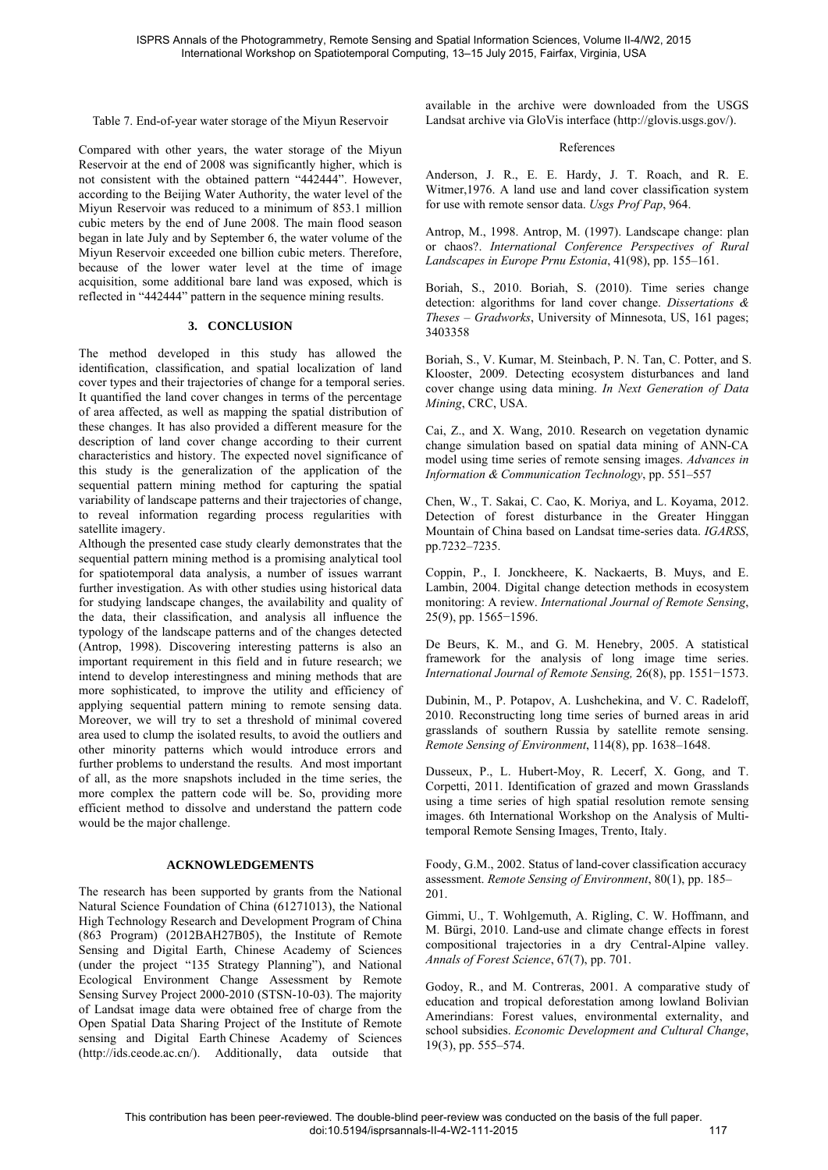Table 7. End-of-year water storage of the Miyun Reservoir

Compared with other years, the water storage of the Miyun Reservoir at the end of 2008 was significantly higher, which is not consistent with the obtained pattern "442444". However, according to the Beijing Water Authority, the water level of the Miyun Reservoir was reduced to a minimum of 853.1 million cubic meters by the end of June 2008. The main flood season began in late July and by September 6, the water volume of the Miyun Reservoir exceeded one billion cubic meters. Therefore, because of the lower water level at the time of image acquisition, some additional bare land was exposed, which is reflected in "442444" pattern in the sequence mining results.

### **3. CONCLUSION**

The method developed in this study has allowed the identification, classification, and spatial localization of land cover types and their trajectories of change for a temporal series. It quantified the land cover changes in terms of the percentage of area affected, as well as mapping the spatial distribution of these changes. It has also provided a different measure for the description of land cover change according to their current characteristics and history. The expected novel significance of this study is the generalization of the application of the sequential pattern mining method for capturing the spatial variability of landscape patterns and their trajectories of change, to reveal information regarding process regularities with satellite imagery.

Although the presented case study clearly demonstrates that the sequential pattern mining method is a promising analytical tool for spatiotemporal data analysis, a number of issues warrant further investigation. As with other studies using historical data for studying landscape changes, the availability and quality of the data, their classification, and analysis all influence the typology of the landscape patterns and of the changes detected (Antrop, 1998). Discovering interesting patterns is also an important requirement in this field and in future research; we intend to develop interestingness and mining methods that are more sophisticated, to improve the utility and efficiency of applying sequential pattern mining to remote sensing data. Moreover, we will try to set a threshold of minimal covered area used to clump the isolated results, to avoid the outliers and other minority patterns which would introduce errors and further problems to understand the results. And most important of all, as the more snapshots included in the time series, the more complex the pattern code will be. So, providing more efficient method to dissolve and understand the pattern code would be the major challenge.

#### **ACKNOWLEDGEMENTS**

The research has been supported by grants from the National Natural Science Foundation of China (61271013), the National High Technology Research and Development Program of China (863 Program) (2012BAH27B05), the Institute of Remote Sensing and Digital Earth, Chinese Academy of Sciences (under the project "135 Strategy Planning"), and National Ecological Environment Change Assessment by Remote Sensing Survey Project 2000-2010 (STSN-10-03). The majority of Landsat image data were obtained free of charge from the Open Spatial Data Sharing Project of the Institute of Remote sensing and Digital Earth Chinese Academy of Sciences (http://ids.ceode.ac.cn/). Additionally, data outside that

available in the archive were downloaded from the USGS Landsat archive via GloVis interface (http://glovis.usgs.gov/).

## References

Anderson, J. R., E. E. Hardy, J. T. Roach, and R. E. Witmer,1976. A land use and land cover classification system for use with remote sensor data. *Usgs Prof Pap*, 964.

Antrop, M., 1998. Antrop, M. (1997). Landscape change: plan or chaos?. *International Conference Perspectives of Rural Landscapes in Europe Prnu Estonia*, 41(98), pp. 155–161.

Boriah, S., 2010. Boriah, S. (2010). Time series change detection: algorithms for land cover change. *Dissertations & Theses – Gradworks*, University of Minnesota, US, 161 pages; 3403358

Boriah, S., V. Kumar, M. Steinbach, P. N. Tan, C. Potter, and S. Klooster, 2009. Detecting ecosystem disturbances and land cover change using data mining. *In Next Generation of Data Mining*, CRC, USA.

Cai, Z., and X. Wang, 2010. Research on vegetation dynamic change simulation based on spatial data mining of ANN-CA model using time series of remote sensing images. *Advances in Information & Communication Technology*, pp. 551–557

Chen, W., T. Sakai, C. Cao, K. Moriya, and L. Koyama, 2012. Detection of forest disturbance in the Greater Hinggan Mountain of China based on Landsat time-series data. *IGARSS*, pp.7232–7235.

Coppin, P., I. Jonckheere, K. Nackaerts, B. Muys, and E. Lambin, 2004. Digital change detection methods in ecosystem monitoring: A review. *International Journal of Remote Sensing*, 25(9), pp. 1565−1596.

De Beurs, K. M., and G. M. Henebry, 2005. A statistical framework for the analysis of long image time series. *International Journal of Remote Sensing,* 26(8), pp. 1551−1573.

Dubinin, M., P. Potapov, A. Lushchekina, and V. C. Radeloff, 2010. Reconstructing long time series of burned areas in arid grasslands of southern Russia by satellite remote sensing. *Remote Sensing of Environment*, 114(8), pp. 1638–1648.

Dusseux, P., L. Hubert-Moy, R. Lecerf, X. Gong, and T. Corpetti, 2011. Identification of grazed and mown Grasslands using a time series of high spatial resolution remote sensing images. 6th International Workshop on the Analysis of Multitemporal Remote Sensing Images, Trento, Italy.

Foody, G.M., 2002. Status of land-cover classification accuracy assessment. *Remote Sensing of Environment*, 80(1), pp. 185– 201.

Gimmi, U., T. Wohlgemuth, A. Rigling, C. W. Hoffmann, and M. Bürgi, 2010. Land-use and climate change effects in forest compositional trajectories in a dry Central-Alpine valley. *Annals of Forest Science*, 67(7), pp. 701.

Godoy, R., and M. Contreras, 2001. A comparative study of education and tropical deforestation among lowland Bolivian Amerindians: Forest values, environmental externality, and school subsidies. *Economic Development and Cultural Change*, 19(3), pp. 555–574.